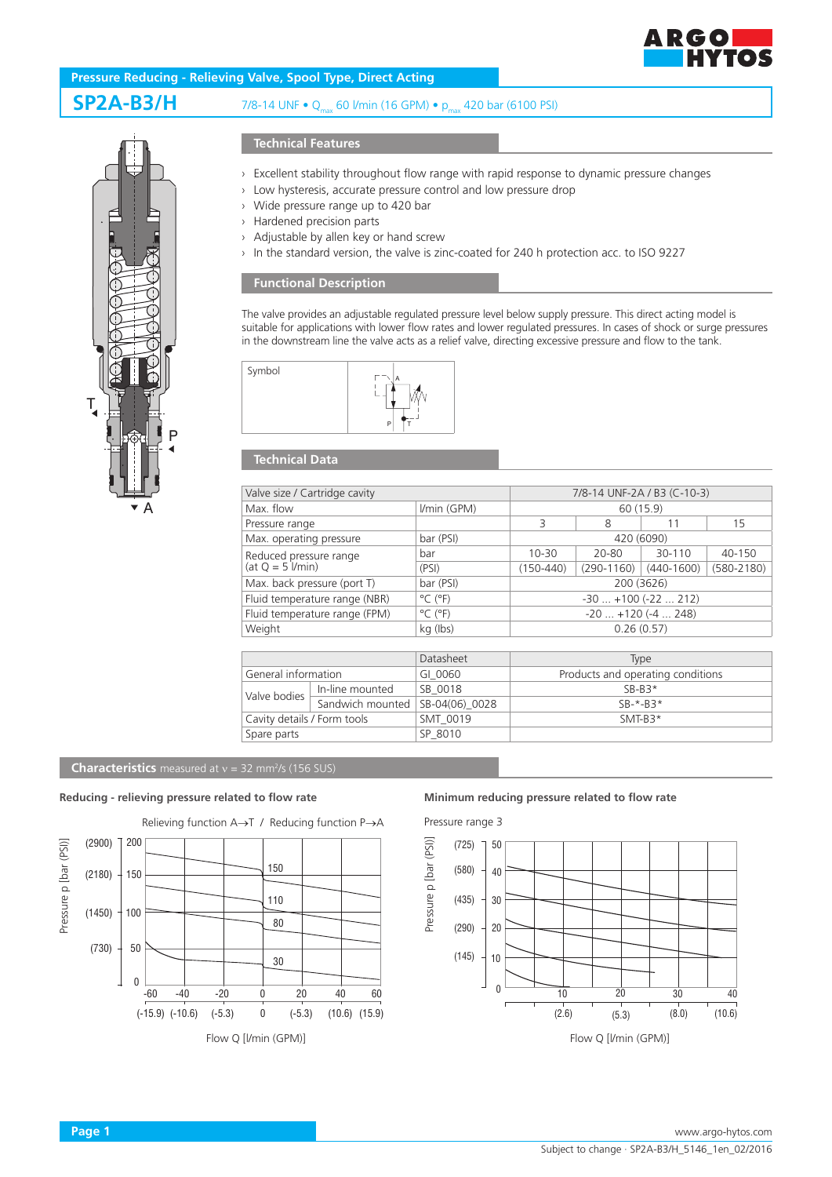



# **SP2A-B3/H** 7/8-14 UNF • Q<sub>max</sub> 60 l/min (16 GPM) • p<sub>max</sub> 420 bar (6100 PSI)

## **Technical Features**

- › Excellent stability throughout flow range with rapid response to dynamic pressure changes
- › Low hysteresis, accurate pressure control and low pressure drop
- › Wide pressure range up to 420 bar
- › Hardened precision parts
- › Adjustable by allen key or hand screw
- In the standard version, the valve is zinc-coated for 240 h protection acc. to ISO 9227

## **Functional Description**

The valve provides an adjustable regulated pressure level below supply pressure. This direct acting model is suitable for applications with lower flow rates and lower regulated pressures. In cases of shock or surge pressures in the downstream line the valve acts as a relief valve, directing excessive pressure and flow to the tank.



## **Technical Data**

| Valve size / Cartridge cavity                 |                  |                              | 7/8-14 UNF-2A / B3 (C-10-3)       |              |                |                |
|-----------------------------------------------|------------------|------------------------------|-----------------------------------|--------------|----------------|----------------|
| Max. flow                                     |                  | I/min (GPM)                  | 60 (15.9)                         |              |                |                |
| Pressure range                                |                  |                              | 3                                 | 8            | 11             | 15             |
| Max. operating pressure                       |                  | bar (PSI)                    | 420 (6090)                        |              |                |                |
| Reduced pressure range<br>$(at Q = 5$ $Vmin)$ |                  | bar                          | $10 - 30$                         | $20 - 80$    | 30-110         | 40-150         |
|                                               |                  | (PSI)                        | $(150 - 440)$                     | $(290-1160)$ | $(440 - 1600)$ | $(580 - 2180)$ |
| Max. back pressure (port T)                   |                  | bar (PSI)                    | 200 (3626)                        |              |                |                |
| Fluid temperature range (NBR)                 |                  | $^{\circ}$ C ( $^{\circ}$ F) | $-30$ $+100$ ( $-22$ 212)         |              |                |                |
| Fluid temperature range (FPM)                 |                  | $^{\circ}$ C ( $^{\circ}$ F) | $-20$ $+120$ ( $-4$ 248)          |              |                |                |
| Weight                                        |                  | kg (lbs)                     | 0.26(0.57)                        |              |                |                |
|                                               |                  |                              |                                   |              |                |                |
|                                               |                  | Datasheet                    | Type                              |              |                |                |
| General information                           |                  | GI 0060                      | Products and operating conditions |              |                |                |
| Valve bodies                                  | In-line mounted  | SB 0018                      | $SB-B3*$                          |              |                |                |
|                                               | Sandwich mounted | SB-04(06) 0028               | $SB-*-BS*$                        |              |                |                |
| Cavity details / Form tools                   |                  | SMT 0019                     | $SMT-B3*$                         |              |                |                |
| Spare parts                                   |                  | SP 8010                      |                                   |              |                |                |

### **Characteristics** measured at  $v = 32$  mm<sup>2</sup>/s (156 SUS)

### **Reducing - relieving pressure related to flow rate Minimum reducing pressure related to flow rate**